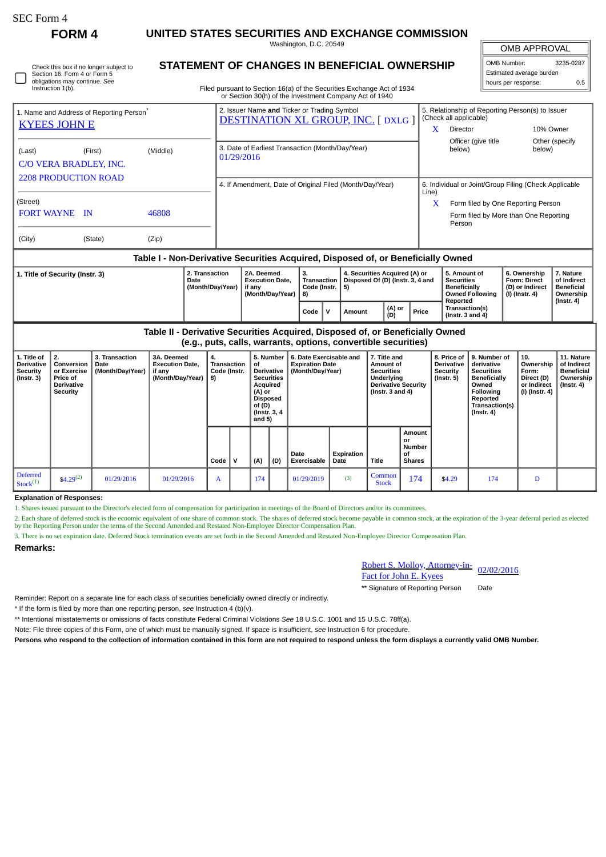| SEC Form 4 |  |
|------------|--|
|------------|--|

∩

**FORM 4 UNITED STATES SECURITIES AND EXCHANGE COMMISSION**

Washington, D.C. 20549

|                   | Check this box if no longer subject to |
|-------------------|----------------------------------------|
|                   | Section 16. Form 4 or Form 5           |
|                   | obligations may continue. See          |
| Instruction 1(b). |                                        |

# **STATEMENT OF CHANGES IN BENEFICIAL OWNERSHIP**

Filed pursuant to Section 16(a) of the Securities Exchange Act of 1934 or Section 30(h) of the Investment Company Act of 1940

## OMB APPROVAL OMB Number: 3235-0287 Estimated average burden hours per response: 0.5

| 1. Name and Address of Reporting Person <sup>®</sup><br><b>KYEES JOHN E</b> |                                               |       | 2. Issuer Name and Ticker or Trading Symbol<br><b>DESTINATION XL GROUP, INC. [DXLG]</b> | 5. Relationship of Reporting Person(s) to Issuer<br>(Check all applicable) |                                                       |                           |  |  |
|-----------------------------------------------------------------------------|-----------------------------------------------|-------|-----------------------------------------------------------------------------------------|----------------------------------------------------------------------------|-------------------------------------------------------|---------------------------|--|--|
|                                                                             |                                               |       |                                                                                         | x                                                                          | Director                                              | 10% Owner                 |  |  |
| (Last)                                                                      | (Middle)<br>(First)<br>C/O VERA BRADLEY, INC. |       | 3. Date of Earliest Transaction (Month/Day/Year)<br>01/29/2016                          |                                                                            | Officer (give title<br>below)                         | Other (specify)<br>below) |  |  |
| <b>2208 PRODUCTION ROAD</b>                                                 |                                               |       | 4. If Amendment, Date of Original Filed (Month/Day/Year)                                | Line)                                                                      | 6. Individual or Joint/Group Filing (Check Applicable |                           |  |  |
| (Street)                                                                    |                                               |       |                                                                                         | x                                                                          | Form filed by One Reporting Person                    |                           |  |  |
| <b>FORT WAYNE</b> IN                                                        |                                               | 46808 |                                                                                         |                                                                            | Form filed by More than One Reporting<br>Person       |                           |  |  |
| (City)                                                                      | (State)                                       | (Zip) |                                                                                         |                                                                            |                                                       |                           |  |  |

### **Table I - Non-Derivative Securities Acquired, Disposed of, or Beneficially Owned**

| 1. Title of Security (Instr. 3) | 2. Transaction<br>Date<br>(Month/Dav/Year) | 2A. Deemed<br><b>Execution Date.</b><br>if anv<br>(Month/Dav/Year) | з.<br>Transaction<br>Code (Instr.   5)<br>  8) |  | 4. Securities Acquired (A) or<br>Disposed Of (D) (Instr. 3, 4 and |               |       | 5. Amount of<br>Securities<br><b>Beneficially</b><br><b>Owned Following</b> | 6. Ownership<br><b>Form: Direct</b><br>(D) or Indirect<br>(I) (Instr. 4) | 7. Nature<br>of Indirect<br>Beneficial<br>Ownership |
|---------------------------------|--------------------------------------------|--------------------------------------------------------------------|------------------------------------------------|--|-------------------------------------------------------------------|---------------|-------|-----------------------------------------------------------------------------|--------------------------------------------------------------------------|-----------------------------------------------------|
|                                 |                                            |                                                                    | Code                                           |  | Amount                                                            | (A) or<br>(D) | Price | Reported<br><b>Transaction(s)</b><br>( $Instr. 3 and 4$ )                   |                                                                          | (Instr. 4)                                          |

**Table II - Derivative Securities Acquired, Disposed of, or Beneficially Owned (e.g., puts, calls, warrants, options, convertible securities)**

| 1. Title of<br>Derivative<br><b>Security</b><br>$($ Instr. 3 $)$ | 2.<br>Conversion<br>or Exercise<br><b>Price of</b><br><b>Derivative</b><br>Security | 3. Transaction<br>Date<br>(Month/Day/Year) | 3A. Deemed<br><b>Execution Date,</b><br>if any<br>(Month/Day/Year) $  8$ ) | 4.<br><b>Transaction</b><br>Code (Instr. |   | 5. Number<br>of<br>Derivative<br><b>Securities</b><br>Acquired<br>(A) or<br>Disposed<br>of(D)<br>(Instr. 3, 4)<br>and $5)$ |     | 6. Date Exercisable and<br><b>Expiration Date</b><br>(Month/Day/Year) |                    | 7. Title and<br>Amount of<br><b>Securities</b><br>Underlying<br><b>Derivative Security</b><br>(Instr. $3$ and $4$ ) |                                                      | 8. Price of<br><b>Derivative</b><br>Security<br>(Instr. 5) | 9. Number of<br>derivative<br><b>Securities</b><br>Beneficially<br>Owned<br>Following<br>Reported<br>Transaction(s)<br>$($ Instr. 4 $)$ | 10.<br>Ownership<br>Form:<br>Direct (D)<br>or Indirect<br>(I) (Instr. 4) | 11. Nature<br>of Indirect<br>Beneficial<br>Ownership<br>$($ Instr. 4 $)$ |
|------------------------------------------------------------------|-------------------------------------------------------------------------------------|--------------------------------------------|----------------------------------------------------------------------------|------------------------------------------|---|----------------------------------------------------------------------------------------------------------------------------|-----|-----------------------------------------------------------------------|--------------------|---------------------------------------------------------------------------------------------------------------------|------------------------------------------------------|------------------------------------------------------------|-----------------------------------------------------------------------------------------------------------------------------------------|--------------------------------------------------------------------------|--------------------------------------------------------------------------|
|                                                                  |                                                                                     |                                            |                                                                            | Code                                     | v | (A)                                                                                                                        | (D) | Date<br><b>Exercisable</b>                                            | Expiration<br>Date | <b>Title</b>                                                                                                        | Amount<br>or<br><b>Number</b><br>οf<br><b>Shares</b> |                                                            |                                                                                                                                         |                                                                          |                                                                          |
| <b>Deferred</b><br>Stock <sup>(1)</sup>                          | \$4.29 <sup>(2)</sup>                                                               | 01/29/2016                                 | 01/29/2016                                                                 | $\mathbf{A}$                             |   | 174                                                                                                                        |     | 01/29/2019                                                            | (3)                | Common<br><b>Stock</b>                                                                                              | 174                                                  | \$4.29                                                     | 174                                                                                                                                     | D                                                                        |                                                                          |

#### **Explanation of Responses:**

1. Shares issued pursuant to the Director's elected form of compensation for participation in meetings of the Board of Directors and/or its committees.

2. Each share of deferred stock is the ecoomic equivalent of one share of common stock. The shares of deferred stock become payable in common stock, at the expiration of the 3-year deferral period as elected by the Reporting Person under the terms of the Second Amended and Restated Non-Employee Director Compensation Plan.

3. There is no set expiration date. Deferred Stock termination events are set forth in the Second Amended and Restated Non-Employee Director Compensation Plan.

#### **Remarks:**

Robert S. Molloy, Attorney-in-<u>Robert S. Molloy, Attorney-in-</u> 02/02/2016<br>Fact for John E. Kyees

\*\* Signature of Reporting Person Date

Reminder: Report on a separate line for each class of securities beneficially owned directly or indirectly.

\* If the form is filed by more than one reporting person, *see* Instruction 4 (b)(v).

\*\* Intentional misstatements or omissions of facts constitute Federal Criminal Violations *See* 18 U.S.C. 1001 and 15 U.S.C. 78ff(a).

Note: File three copies of this Form, one of which must be manually signed. If space is insufficient, *see* Instruction 6 for procedure.

**Persons who respond to the collection of information contained in this form are not required to respond unless the form displays a currently valid OMB Number.**